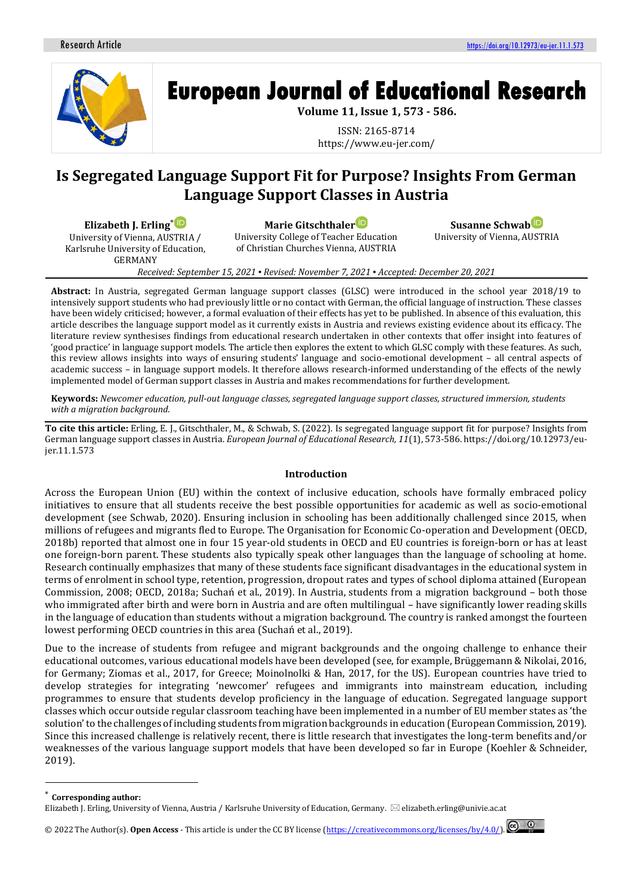

# **European Journal of Educational Research**

**Volume 11, Issue 1, 573 - 586.**

ISSN: 2165-8714 https://www.eu-jer.com/

# **Is Segregated Language Support Fit for Purpose? Insights From German Language Support Classes in Austria**

**Elizabeth J. Erling**\*

University of Vienna, AUSTRIA / Karlsruhe University of Education, GERMANY

**Marie Gitschthale[r](https://orcid.org/0000-0001-8648-2845)**

University College of Teacher Education of Christian Churches Vienna, AUSTRIA

**Susanne Schwab** University of Vienna, AUSTRIA

*Received: September 15, 2021 ▪ Revised: November 7, 2021 ▪ Accepted: December 20, 2021*

**Abstract:** In Austria, segregated German language support classes (GLSC) were introduced in the school year 2018/19 to intensively support students who had previously little or no contact with German, the official language of instruction. These classes have been widely criticised; however, a formal evaluation of their effects has yet to be published. In absence of this evaluation, this article describes the language support model as it currently exists in Austria and reviews existing evidence about its efficacy. The literature review synthesises findings from educational research undertaken in other contexts that offer insight into features of 'good practice' in language support models. The article then explores the extent to which GLSC comply with these features. As such, this review allows insights into ways of ensuring students' language and socio-emotional development – all central aspects of academic success – in language support models. It therefore allows research-informed understanding of the effects of the newly implemented model of German support classes in Austria and makes recommendations for further development.

**Keywords:** *Newcomer education, pull-out language classes, segregated language support classes, structured immersion, students with a migration background.*

**To cite this article:** Erling, E. J., Gitschthaler, M., & Schwab, S. (2022). Is segregated language support fit for purpose? Insights from German language support classes in Austria. *European Journal of Educational Research, 11*(1), 573-586. https://doi.org/10.12973/eujer.11.1.573

# **Introduction**

Across the European Union (EU) within the context of inclusive education, schools have formally embraced policy initiatives to ensure that all students receive the best possible opportunities for academic as well as socio-emotional development (see Schwab, 2020). Ensuring inclusion in schooling has been additionally challenged since 2015, when millions of refugees and migrants fled to Europe. The Organisation for Economic Co-operation and Development (OECD, 2018b) reported that almost one in four 15 year-old students in OECD and EU countries is foreign-born or has at least one foreign-born parent. These students also typically speak other languages than the language of schooling at home. Research continually emphasizes that many of these students face significant disadvantages in the educational system in terms of enrolment in school type, retention, progression, dropout rates and types of school diploma attained (European Commission, 2008; OECD, 2018a; Suchań et al., 2019). In Austria, students from a migration background – both those who immigrated after birth and were born in Austria and are often multilingual – have significantly lower reading skills in the language of education than students without a migration background. The country is ranked amongst the fourteen lowest performing OECD countries in this area (Suchań et al., 2019).

Due to the increase of students from refugee and migrant backgrounds and the ongoing challenge to enhance their educational outcomes, various educational models have been developed (see, for example, Brüggemann & Nikolai, 2016, for Germany; Ziomas et al., 2017, for Greece; Moinolnolki & Han, 2017, for the US). European countries have tried to develop strategies for integrating 'newcomer' refugees and immigrants into mainstream education, including programmes to ensure that students develop proficiency in the language of education. Segregated language support classes which occur outside regular classroom teaching have been implemented in a number of EU member states as 'the solution' to the challenges of including students from migration backgrounds in education (European Commission, 2019). Since this increased challenge is relatively recent, there is little research that investigates the long-term benefits and/or weaknesses of the various language support models that have been developed so far in Europe (Koehler & Schneider, 2019).

<sup>\*</sup> **Corresponding author:**

Elizabeth J. Erling, University of Vienna, Austria / Karlsruhe University of Education, Germany.  $\boxtimes$  elizabeth.erling@univie.ac.at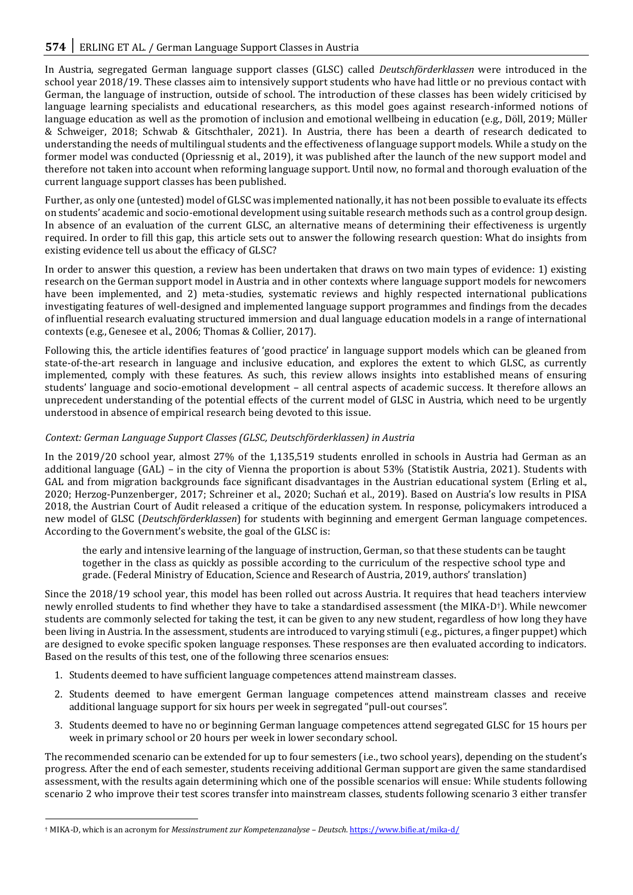In Austria, segregated German language support classes (GLSC) called *Deutschförderklassen* were introduced in the school year 2018/19. These classes aim to intensively support students who have had little or no previous contact with German, the language of instruction, outside of school. The introduction of these classes has been widely criticised by language learning specialists and educational researchers, as this model goes against research-informed notions of language education as well as the promotion of inclusion and emotional wellbeing in education (e.g., Döll, 2019; Müller & Schweiger, 2018; Schwab & Gitschthaler, 2021). In Austria, there has been a dearth of research dedicated to understanding the needs of multilingual students and the effectiveness of language support models. While a study on the former model was conducted (Opriessnig et al., 2019), it was published after the launch of the new support model and therefore not taken into account when reforming language support. Until now, no formal and thorough evaluation of the current language support classes has been published.

Further, as only one (untested) model of GLSC was implemented nationally, it has not been possible to evaluate its effects on students' academic and socio-emotional development using suitable research methods such as a control group design. In absence of an evaluation of the current GLSC, an alternative means of determining their effectiveness is urgently required. In order to fill this gap, this article sets out to answer the following research question: What do insights from existing evidence tell us about the efficacy of GLSC?

In order to answer this question, a review has been undertaken that draws on two main types of evidence: 1) existing research on the German support model in Austria and in other contexts where language support models for newcomers have been implemented, and 2) meta-studies, systematic reviews and highly respected international publications investigating features of well-designed and implemented language support programmes and findings from the decades of influential research evaluating structured immersion and dual language education models in a range of international contexts (e.g., Genesee et al., 2006; Thomas & Collier, 2017).

Following this, the article identifies features of 'good practice' in language support models which can be gleaned from state-of-the-art research in language and inclusive education, and explores the extent to which GLSC, as currently implemented, comply with these features. As such, this review allows insights into established means of ensuring students' language and socio-emotional development – all central aspects of academic success. It therefore allows an unprecedent understanding of the potential effects of the current model of GLSC in Austria, which need to be urgently understood in absence of empirical research being devoted to this issue.

# *Context: German Language Support Classes (GLSC, Deutschförderklassen) in Austria*

In the 2019/20 school year, almost 27% of the 1,135,519 students enrolled in schools in Austria had German as an additional language (GAL) – in the city of Vienna the proportion is about 53% (Statistik Austria, 2021). Students with GAL and from migration backgrounds face significant disadvantages in the Austrian educational system (Erling et al., 2020; Herzog-Punzenberger, 2017; Schreiner et al., 2020; Suchań et al., 2019). Based on Austria's low results in PISA 2018, the Austrian Court of Audit released a critique of the education system. In response, policymakers introduced a new model of GLSC (*Deutschförderklassen*) for students with beginning and emergent German language competences. According to the Government's website, the goal of the GLSC is:

the early and intensive learning of the language of instruction, German, so that these students can be taught together in the class as quickly as possible according to the curriculum of the respective school type and grade. (Federal Ministry of Education, Science and Research of Austria, 2019, authors' translation)

Since the 2018/19 school year, this model has been rolled out across Austria. It requires that head teachers interview newly enrolled students to find whether they have to take a standardised assessment (the MIKA-D†). While newcomer students are commonly selected for taking the test, it can be given to any new student, regardless of how long they have been living in Austria. In the assessment, students are introduced to varying stimuli (e.g., pictures, a finger puppet) which are designed to evoke specific spoken language responses. These responses are then evaluated according to indicators. Based on the results of this test, one of the following three scenarios ensues:

- 1. Students deemed to have sufficient language competences attend mainstream classes.
- 2. Students deemed to have emergent German language competences attend mainstream classes and receive additional language support for six hours per week in segregated "pull-out courses".
- 3. Students deemed to have no or beginning German language competences attend segregated GLSC for 15 hours per week in primary school or 20 hours per week in lower secondary school.

The recommended scenario can be extended for up to four semesters (i.e., two school years), depending on the student's progress. After the end of each semester, students receiving additional German support are given the same standardised assessment, with the results again determining which one of the possible scenarios will ensue: While students following scenario 2 who improve their test scores transfer into mainstream classes, students following scenario 3 either transfer

<sup>†</sup> MIKA-D, which is an acronym for *Messinstrument zur Kompetenzanalyse – Deutsch*[. https://www.bifie.at/mika-d/](https://www.bifie.at/mika-d/)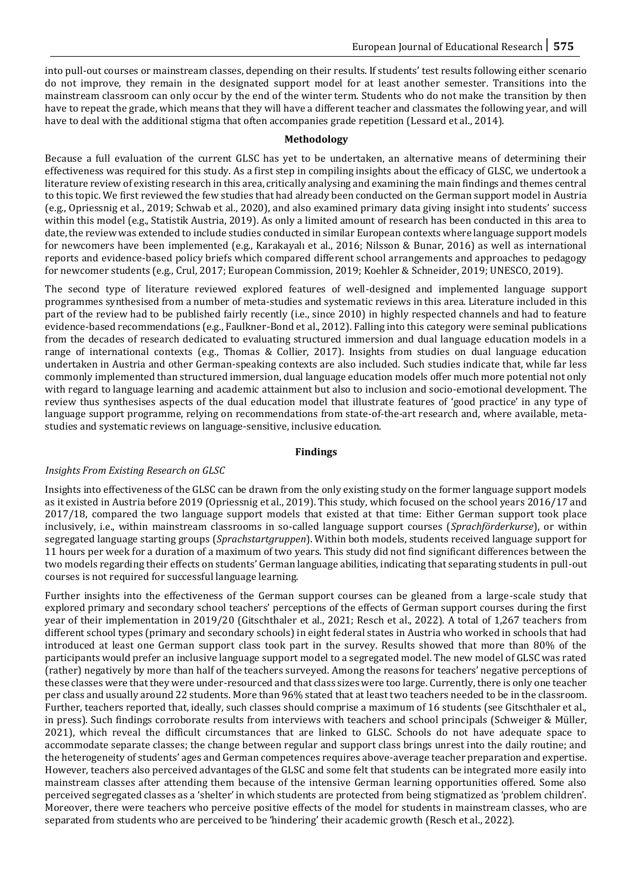into pull-out courses or mainstream classes, depending on their results. If students' test results following either scenario do not improve, they remain in the designated support model for at least another semester. Transitions into the mainstream classroom can only occur by the end of the winter term. Students who do not make the transition by then have to repeat the grade, which means that they will have a different teacher and classmates the following year, and will have to deal with the additional stigma that often accompanies grade repetition (Lessard et al., 2014).

### **Methodology**

Because a full evaluation of the current GLSC has yet to be undertaken, an alternative means of determining their effectiveness was required for this study. As a first step in compiling insights about the efficacy of GLSC, we undertook a literature review of existing research in this area, critically analysing and examining the main findings and themes central to this topic. We first reviewed the few studies that had already been conducted on the German support model in Austria (e.g., Opriessnig et al., 2019; Schwab et al., 2020), and also examined primary data giving insight into students' success within this model (e.g., Statistik Austria, 2019). As only a limited amount of research has been conducted in this area to date, the review was extended to include studies conducted in similar European contexts where language support models for newcomers have been implemented (e.g., Karakayalı et al., 2016; Nilsson & Bunar, 2016) as well as international reports and evidence-based policy briefs which compared different school arrangements and approaches to pedagogy for newcomer students (e.g., Crul, 2017; European Commission, 2019; Koehler & Schneider, 2019; UNESCO, 2019).

The second type of literature reviewed explored features of well-designed and implemented language support programmes synthesised from a number of meta-studies and systematic reviews in this area. Literature included in this part of the review had to be published fairly recently (i.e., since 2010) in highly respected channels and had to feature evidence-based recommendations (e.g., Faulkner-Bond et al., 2012). Falling into this category were seminal publications from the decades of research dedicated to evaluating structured immersion and dual language education models in a range of international contexts (e.g., Thomas & Collier, 2017). Insights from studies on dual language education undertaken in Austria and other German-speaking contexts are also included. Such studies indicate that, while far less commonly implemented than structured immersion, dual language education models offer much more potential not only with regard to language learning and academic attainment but also to inclusion and socio-emotional development. The review thus synthesises aspects of the dual education model that illustrate features of 'good practice' in any type of language support programme, relying on recommendations from state-of-the-art research and, where available, metastudies and systematic reviews on language-sensitive, inclusive education.

#### **Findings**

# *Insights From Existing Research on GLSC*

Insights into effectiveness of the GLSC can be drawn from the only existing study on the former language support models as it existed in Austria before 2019 (Opriessnig et al., 2019). This study, which focused on the school years 2016/17 and 2017/18, compared the two language support models that existed at that time: Either German support took place inclusively, i.e., within mainstream classrooms in so-called language support courses (*Sprachförderkurse*), or within segregated language starting groups (*Sprachstartgruppen*). Within both models, students received language support for 11 hours per week for a duration of a maximum of two years. This study did not find significant differences between the two models regarding their effects on students' German language abilities, indicating that separating students in pull-out courses is not required for successful language learning.

Further insights into the effectiveness of the German support courses can be gleaned from a large-scale study that explored primary and secondary school teachers' perceptions of the effects of German support courses during the first year of their implementation in 2019/20 (Gitschthaler et al., 2021; Resch et al., 2022). A total of 1,267 teachers from different school types (primary and secondary schools) in eight federal states in Austria who worked in schools that had introduced at least one German support class took part in the survey. Results showed that more than 80% of the participants would prefer an inclusive language support model to a segregated model. The new model of GLSC was rated (rather) negatively by more than half of the teachers surveyed. Among the reasons for teachers' negative perceptions of these classes were that they were under-resourced and that class sizes were too large. Currently, there is only one teacher per class and usually around 22 students. More than 96% stated that at least two teachers needed to be in the classroom. Further, teachers reported that, ideally, such classes should comprise a maximum of 16 students (see Gitschthaler et al., in press). Such findings corroborate results from interviews with teachers and school principals (Schweiger & Müller, 2021), which reveal the difficult circumstances that are linked to GLSC. Schools do not have adequate space to accommodate separate classes; the change between regular and support class brings unrest into the daily routine; and the heterogeneity of students' ages and German competences requires above-average teacher preparation and expertise. However, teachers also perceived advantages of the GLSC and some felt that students can be integrated more easily into mainstream classes after attending them because of the intensive German learning opportunities offered. Some also perceived segregated classes as a 'shelter' in which students are protected from being stigmatized as 'problem children'. Moreover, there were teachers who perceive positive effects of the model for students in mainstream classes, who are separated from students who are perceived to be 'hindering' their academic growth (Resch et al., 2022).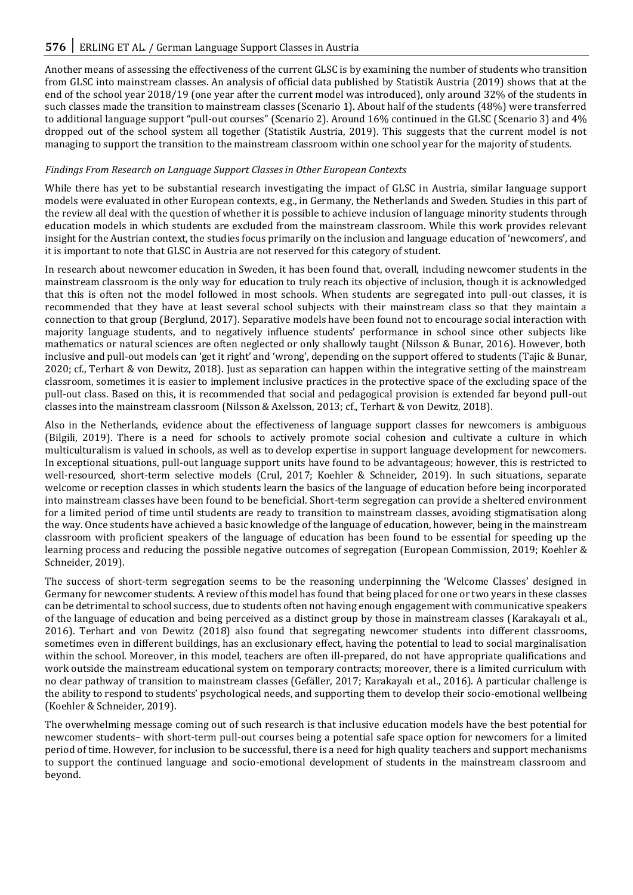Another means of assessing the effectiveness of the current GLSC is by examining the number of students who transition from GLSC into mainstream classes. An analysis of official data published by Statistik Austria (2019) shows that at the end of the school year 2018/19 (one year after the current model was introduced), only around 32% of the students in such classes made the transition to mainstream classes (Scenario 1). About half of the students (48%) were transferred to additional language support "pull-out courses" (Scenario 2). Around 16% continued in the GLSC (Scenario 3) and 4% dropped out of the school system all together (Statistik Austria, 2019). This suggests that the current model is not managing to support the transition to the mainstream classroom within one school year for the majority of students.

# *Findings From Research on Language Support Classes in Other European Contexts*

While there has yet to be substantial research investigating the impact of GLSC in Austria, similar language support models were evaluated in other European contexts, e.g., in Germany, the Netherlands and Sweden. Studies in this part of the review all deal with the question of whether it is possible to achieve inclusion of language minority students through education models in which students are excluded from the mainstream classroom. While this work provides relevant insight for the Austrian context, the studies focus primarily on the inclusion and language education of 'newcomers', and it is important to note that GLSC in Austria are not reserved for this category of student.

In research about newcomer education in Sweden, it has been found that, overall, including newcomer students in the mainstream classroom is the only way for education to truly reach its objective of inclusion, though it is acknowledged that this is often not the model followed in most schools. When students are segregated into pull-out classes, it is recommended that they have at least several school subjects with their mainstream class so that they maintain a connection to that group (Berglund, 2017). Separative models have been found not to encourage social interaction with majority language students, and to negatively influence students' performance in school since other subjects like mathematics or natural sciences are often neglected or only shallowly taught (Nilsson & Bunar, 2016). However, both inclusive and pull-out models can 'get it right' and 'wrong', depending on the support offered to students (Tajic & Bunar, 2020; cf., Terhart & von Dewitz, 2018). Just as separation can happen within the integrative setting of the mainstream classroom, sometimes it is easier to implement inclusive practices in the protective space of the excluding space of the pull-out class. Based on this, it is recommended that social and pedagogical provision is extended far beyond pull-out classes into the mainstream classroom (Nilsson & Axelsson, 2013; cf., Terhart & von Dewitz, 2018).

Also in the Netherlands, evidence about the effectiveness of language support classes for newcomers is ambiguous (Bilgili, 2019). There is a need for schools to actively promote social cohesion and cultivate a culture in which multiculturalism is valued in schools, as well as to develop expertise in support language development for newcomers. In exceptional situations, pull-out language support units have found to be advantageous; however, this is restricted to well-resourced, short-term selective models (Crul, 2017; Koehler & Schneider, 2019). In such situations, separate welcome or reception classes in which students learn the basics of the language of education before being incorporated into mainstream classes have been found to be beneficial. Short-term segregation can provide a sheltered environment for a limited period of time until students are ready to transition to mainstream classes, avoiding stigmatisation along the way. Once students have achieved a basic knowledge of the language of education, however, being in the mainstream classroom with proficient speakers of the language of education has been found to be essential for speeding up the learning process and reducing the possible negative outcomes of segregation (European Commission, 2019; Koehler & Schneider, 2019).

The success of short-term segregation seems to be the reasoning underpinning the 'Welcome Classes' designed in Germany for newcomer students. A review of this model has found that being placed for one or two years in these classes can be detrimental to school success, due to students often not having enough engagement with communicative speakers of the language of education and being perceived as a distinct group by those in mainstream classes (Karakayalı et al., 2016). Terhart and von Dewitz (2018) also found that segregating newcomer students into different classrooms, sometimes even in different buildings, has an exclusionary effect, having the potential to lead to social marginalisation within the school. Moreover, in this model, teachers are often ill-prepared, do not have appropriate qualifications and work outside the mainstream educational system on temporary contracts; moreover, there is a limited curriculum with no clear pathway of transition to mainstream classes (Gefäller, 2017; Karakayalı et al., 2016). A particular challenge is the ability to respond to students' psychological needs, and supporting them to develop their socio-emotional wellbeing (Koehler & Schneider, 2019).

The overwhelming message coming out of such research is that inclusive education models have the best potential for newcomer students– with short-term pull-out courses being a potential safe space option for newcomers for a limited period of time. However, for inclusion to be successful, there is a need for high quality teachers and support mechanisms to support the continued language and socio-emotional development of students in the mainstream classroom and beyond.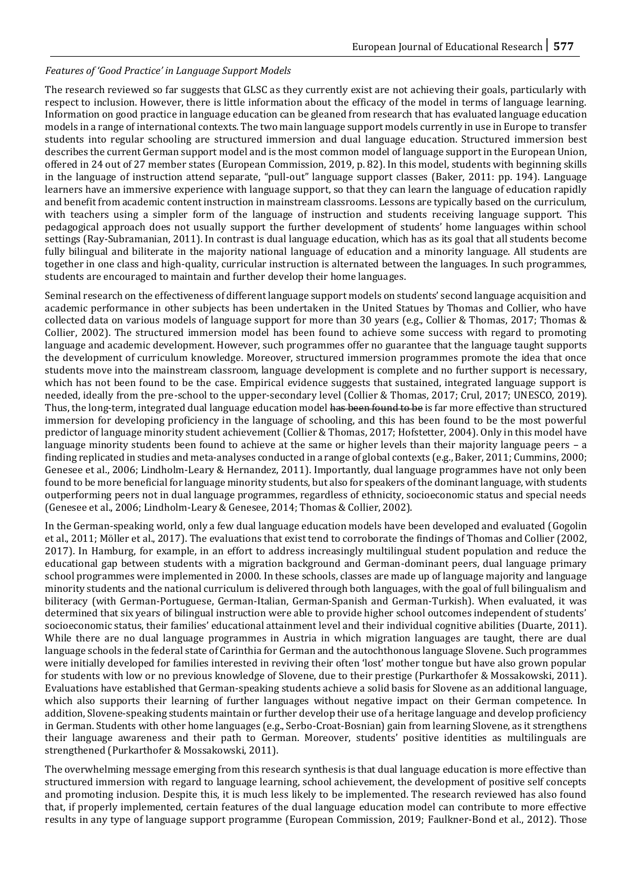# *Features of 'Good Practice' in Language Support Models*

The research reviewed so far suggests that GLSC as they currently exist are not achieving their goals, particularly with respect to inclusion. However, there is little information about the efficacy of the model in terms of language learning. Information on good practice in language education can be gleaned from research that has evaluated language education models in a range of international contexts. The two main language support models currently in use in Europe to transfer students into regular schooling are structured immersion and dual language education. Structured immersion best describes the current German support model and is the most common model of language support in the European Union, offered in 24 out of 27 member states (European Commission, 2019, p. 82). In this model, students with beginning skills in the language of instruction attend separate, "pull-out" language support classes (Baker, 2011: pp. 194). Language learners have an immersive experience with language support, so that they can learn the language of education rapidly and benefit from academic content instruction in mainstream classrooms. Lessons are typically based on the curriculum, with teachers using a simpler form of the language of instruction and students receiving language support. This pedagogical approach does not usually support the further development of students' home languages within school settings (Ray-Subramanian, 2011). In contrast is dual language education, which has as its goal that all students become fully bilingual and biliterate in the majority national language of education and a minority language. All students are together in one class and high-quality, curricular instruction is alternated between the languages. In such programmes, students are encouraged to maintain and further develop their home languages.

Seminal research on the effectiveness of different language support models on students' second language acquisition and academic performance in other subjects has been undertaken in the United Statues by Thomas and Collier, who have collected data on various models of language support for more than 30 years (e.g., Collier & Thomas, 2017; Thomas & Collier, 2002). The structured immersion model has been found to achieve some success with regard to promoting language and academic development. However, such programmes offer no guarantee that the language taught supports the development of curriculum knowledge. Moreover, structured immersion programmes promote the idea that once students move into the mainstream classroom, language development is complete and no further support is necessary, which has not been found to be the case. Empirical evidence suggests that sustained, integrated language support is needed, ideally from the pre-school to the upper-secondary level (Collier & Thomas, 2017; Crul, 2017; UNESCO, 2019). Thus, the long-term, integrated dual language education model has been found to be is far more effective than structured immersion for developing proficiency in the language of schooling, and this has been found to be the most powerful predictor of language minority student achievement (Collier & Thomas, 2017; Hofstetter, 2004). Only in this model have language minority students been found to achieve at the same or higher levels than their majority language peers – a finding replicated in studies and meta-analyses conducted in a range of global contexts (e.g., Baker, 2011; Cummins, 2000; Genesee et al., 2006; Lindholm-Leary & Hernandez, 2011). Importantly, dual language programmes have not only been found to be more beneficial for language minority students, but also for speakers of the dominant language, with students outperforming peers not in dual language programmes, regardless of ethnicity, socioeconomic status and special needs (Genesee et al., 2006; Lindholm-Leary & Genesee, 2014; Thomas & Collier, 2002).

In the German-speaking world, only a few dual language education models have been developed and evaluated (Gogolin et al., 2011; Möller et al., 2017). The evaluations that exist tend to corroborate the findings of Thomas and Collier (2002, 2017). In Hamburg, for example, in an effort to address increasingly multilingual student population and reduce the educational gap between students with a migration background and German-dominant peers, dual language primary school programmes were implemented in 2000. In these schools, classes are made up of language majority and language minority students and the national curriculum is delivered through both languages, with the goal of full bilingualism and biliteracy (with German-Portuguese, German-Italian, German-Spanish and German-Turkish). When evaluated, it was determined that six years of bilingual instruction were able to provide higher school outcomes independent of students' socioeconomic status, their families' educational attainment level and their individual cognitive abilities (Duarte, 2011). While there are no dual language programmes in Austria in which migration languages are taught, there are dual language schools in the federal state of Carinthia for German and the autochthonous language Slovene. Such programmes were initially developed for families interested in reviving their often 'lost' mother tongue but have also grown popular for students with low or no previous knowledge of Slovene, due to their prestige (Purkarthofer & Mossakowski, 2011). Evaluations have established that German-speaking students achieve a solid basis for Slovene as an additional language, which also supports their learning of further languages without negative impact on their German competence. In addition, Slovene-speaking students maintain or further develop their use of a heritage language and develop proficiency in German. Students with other home languages (e.g., Serbo-Croat-Bosnian) gain from learning Slovene, as it strengthens their language awareness and their path to German. Moreover, students' positive identities as multilinguals are strengthened (Purkarthofer & Mossakowski, 2011).

The overwhelming message emerging from this research synthesis is that dual language education is more effective than structured immersion with regard to language learning, school achievement, the development of positive self concepts and promoting inclusion. Despite this, it is much less likely to be implemented. The research reviewed has also found that, if properly implemented, certain features of the dual language education model can contribute to more effective results in any type of language support programme (European Commission, 2019; Faulkner-Bond et al., 2012). Those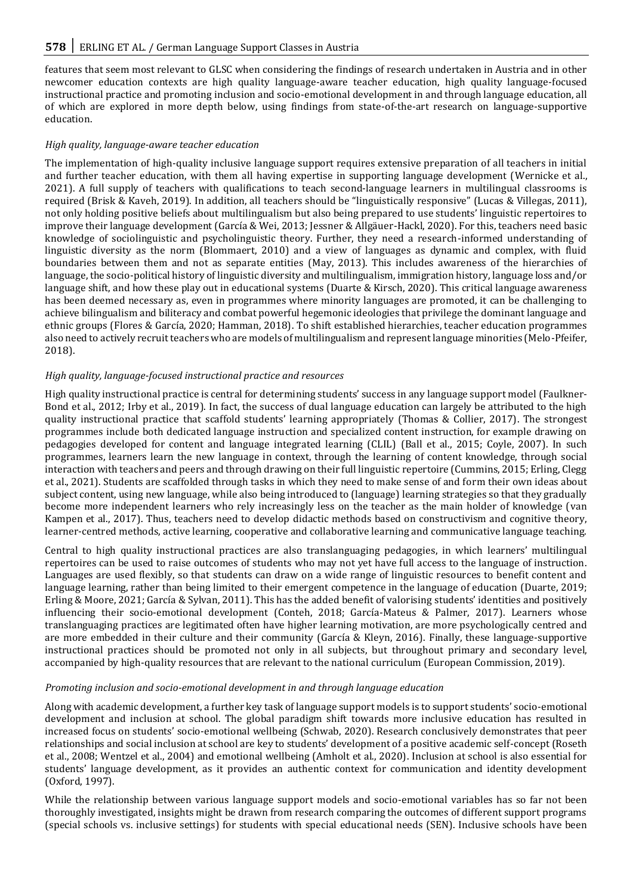features that seem most relevant to GLSC when considering the findings of research undertaken in Austria and in other newcomer education contexts are high quality language-aware teacher education, high quality language-focused instructional practice and promoting inclusion and socio-emotional development in and through language education, all of which are explored in more depth below, using findings from state-of-the-art research on language-supportive education.

#### *High quality, language-aware teacher education*

The implementation of high-quality inclusive language support requires extensive preparation of all teachers in initial and further teacher education, with them all having expertise in supporting language development (Wernicke et al., 2021). A full supply of teachers with qualifications to teach second-language learners in multilingual classrooms is required (Brisk & Kaveh, 2019). In addition, all teachers should be "linguistically responsive" (Lucas & Villegas, 2011), not only holding positive beliefs about multilingualism but also being prepared to use students' linguistic repertoires to improve their language development (García & Wei, 2013; Jessner & Allgäuer-Hackl, 2020). For this, teachers need basic knowledge of sociolinguistic and psycholinguistic theory. Further, they need a research-informed understanding of linguistic diversity as the norm (Blommaert, 2010) and a view of languages as dynamic and complex, with fluid boundaries between them and not as separate entities (May, 2013). This includes awareness of the hierarchies of language, the socio-political history of linguistic diversity and multilingualism, immigration history, language loss and/or language shift, and how these play out in educational systems (Duarte & Kirsch, 2020). This critical language awareness has been deemed necessary as, even in programmes where minority languages are promoted, it can be challenging to achieve bilingualism and biliteracy and combat powerful hegemonic ideologies that privilege the dominant language and ethnic groups (Flores & García, 2020; Hamman, 2018). To shift established hierarchies, teacher education programmes also need to actively recruit teachers who are models of multilingualism and represent language minorities (Melo-Pfeifer, 2018).

# *High quality, language-focused instructional practice and resources*

High quality instructional practice is central for determining students' success in any language support model (Faulkner-Bond et al., 2012; Irby et al., 2019). In fact, the success of dual language education can largely be attributed to the high quality instructional practice that scaffold students' learning appropriately (Thomas & Collier, 2017). The strongest programmes include both dedicated language instruction and specialized content instruction, for example drawing on pedagogies developed for content and language integrated learning (CLIL) (Ball et al., 2015; Coyle, 2007). In such programmes, learners learn the new language in context, through the learning of content knowledge, through social interaction with teachers and peers and through drawing on their full linguistic repertoire (Cummins, 2015; Erling, Clegg et al., 2021). Students are scaffolded through tasks in which they need to make sense of and form their own ideas about subject content, using new language, while also being introduced to (language) learning strategies so that they gradually become more independent learners who rely increasingly less on the teacher as the main holder of knowledge (van Kampen et al., 2017). Thus, teachers need to develop didactic methods based on constructivism and cognitive theory, learner-centred methods, active learning, cooperative and collaborative learning and communicative language teaching.

Central to high quality instructional practices are also translanguaging pedagogies, in which learners' multilingual repertoires can be used to raise outcomes of students who may not yet have full access to the language of instruction. Languages are used flexibly, so that students can draw on a wide range of linguistic resources to benefit content and language learning, rather than being limited to their emergent competence in the language of education (Duarte, 2019; Erling & Moore, 2021; García & Sylvan, 2011). This has the added benefit of valorising students' identities and positively influencing their socio-emotional development (Conteh, 2018; García-Mateus & Palmer, 2017). Learners whose translanguaging practices are legitimated often have higher learning motivation, are more psychologically centred and are more embedded in their culture and their community (García & Kleyn, 2016). Finally, these language-supportive instructional practices should be promoted not only in all subjects, but throughout primary and secondary level, accompanied by high-quality resources that are relevant to the national curriculum (European Commission, 2019).

#### *Promoting inclusion and socio-emotional development in and through language education*

Along with academic development, a further key task of language support models is to support students' socio-emotional development and inclusion at school. The global paradigm shift towards more inclusive education has resulted in increased focus on students' socio-emotional wellbeing (Schwab, 2020). Research conclusively demonstrates that peer relationships and social inclusion at school are key to students' development of a positive academic self-concept (Roseth et al., 2008; Wentzel et al., 2004) and emotional wellbeing (Amholt et al., 2020). Inclusion at school is also essential for students' language development, as it provides an authentic context for communication and identity development (Oxford, 1997).

While the relationship between various language support models and socio-emotional variables has so far not been thoroughly investigated, insights might be drawn from research comparing the outcomes of different support programs (special schools vs. inclusive settings) for students with special educational needs (SEN). Inclusive schools have been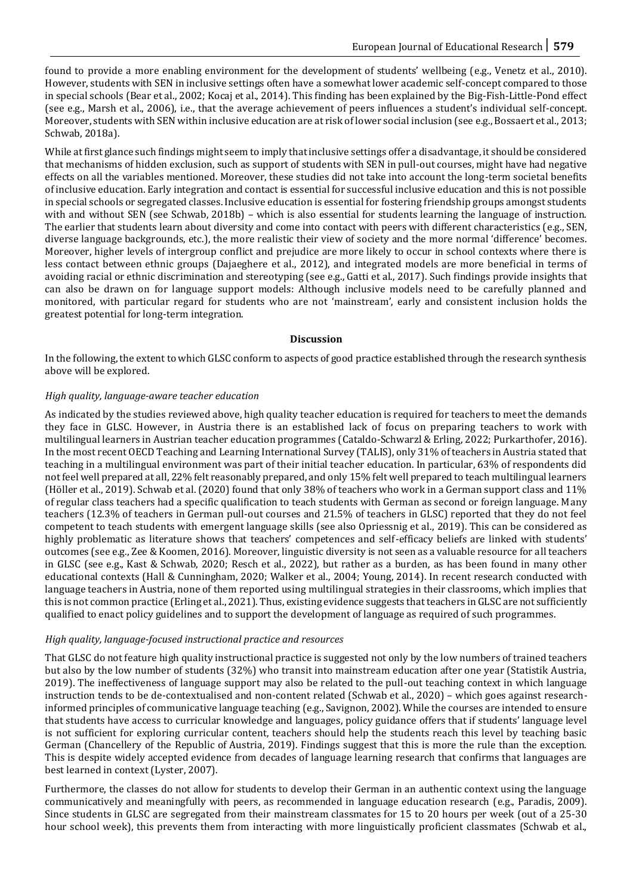found to provide a more enabling environment for the development of students' wellbeing (e.g., Venetz et al., 2010). However, students with SEN in inclusive settings often have a somewhat lower academic self-concept compared to those in special schools (Bear et al., 2002; Kocaj et al., 2014). This finding has been explained by the Big-Fish-Little-Pond effect (see e.g., Marsh et al., 2006), i.e., that the average achievement of peers influences a student's individual self-concept. Moreover, students with SEN within inclusive education are at risk of lower social inclusion (see e.g., Bossaert et al., 2013; Schwab, 2018a).

While at first glance such findings might seem to imply that inclusive settings offer a disadvantage, it should be considered that mechanisms of hidden exclusion, such as support of students with SEN in pull-out courses, might have had negative effects on all the variables mentioned. Moreover, these studies did not take into account the long-term societal benefits of inclusive education. Early integration and contact is essential for successful inclusive education and this is not possible in special schools or segregated classes. Inclusive education is essential for fostering friendship groups amongst students with and without SEN (see Schwab, 2018b) – which is also essential for students learning the language of instruction. The earlier that students learn about diversity and come into contact with peers with different characteristics (e.g., SEN, diverse language backgrounds, etc.), the more realistic their view of society and the more normal 'difference' becomes. Moreover, higher levels of intergroup conflict and prejudice are more likely to occur in school contexts where there is less contact between ethnic groups (Dajaeghere et al., 2012), and integrated models are more beneficial in terms of avoiding racial or ethnic discrimination and stereotyping (see e.g., Gatti et al., 2017). Such findings provide insights that can also be drawn on for language support models: Although inclusive models need to be carefully planned and monitored, with particular regard for students who are not 'mainstream', early and consistent inclusion holds the greatest potential for long-term integration.

#### **Discussion**

In the following, the extent to which GLSC conform to aspects of good practice established through the research synthesis above will be explored.

#### *High quality, language-aware teacher education*

As indicated by the studies reviewed above, high quality teacher education is required for teachers to meet the demands they face in GLSC. However, in Austria there is an established lack of focus on preparing teachers to work with multilingual learners in Austrian teacher education programmes (Cataldo-Schwarzl & Erling, 2022; Purkarthofer, 2016). In the most recent OECD Teaching and Learning International Survey (TALIS), only 31% of teachers in Austria stated that teaching in a multilingual environment was part of their initial teacher education. In particular, 63% of respondents did not feel well prepared at all, 22% felt reasonably prepared, and only 15% felt well prepared to teach multilingual learners (Höller et al., 2019). Schwab et al. (2020) found that only 38% of teachers who work in a German support class and 11% of regular class teachers had a specific qualification to teach students with German as second or foreign language. Many teachers (12.3% of teachers in German pull-out courses and 21.5% of teachers in GLSC) reported that they do not feel competent to teach students with emergent language skills (see also Opriessnig et al., 2019). This can be considered as highly problematic as literature shows that teachers' competences and self-efficacy beliefs are linked with students' outcomes (see e.g., Zee & Koomen, 2016). Moreover, linguistic diversity is not seen as a valuable resource for all teachers in GLSC (see e.g., Kast & Schwab, 2020; Resch et al., 2022), but rather as a burden, as has been found in many other educational contexts (Hall & Cunningham, 2020; Walker et al., 2004; Young, 2014). In recent research conducted with language teachers in Austria, none of them reported using multilingual strategies in their classrooms, which implies that this is not common practice (Erling et al., 2021). Thus, existing evidence suggests that teachers in GLSC are not sufficiently qualified to enact policy guidelines and to support the development of language as required of such programmes.

#### *High quality, language-focused instructional practice and resources*

That GLSC do not feature high quality instructional practice is suggested not only by the low numbers of trained teachers but also by the low number of students (32%) who transit into mainstream education after one year (Statistik Austria, 2019). The ineffectiveness of language support may also be related to the pull-out teaching context in which language instruction tends to be de-contextualised and non-content related (Schwab et al., 2020) – which goes against researchinformed principles of communicative language teaching (e.g., Savignon, 2002). While the courses are intended to ensure that students have access to curricular knowledge and languages, policy guidance offers that if students' language level is not sufficient for exploring curricular content, teachers should help the students reach this level by teaching basic German (Chancellery of the Republic of Austria, 2019). Findings suggest that this is more the rule than the exception. This is despite widely accepted evidence from decades of language learning research that confirms that languages are best learned in context (Lyster, 2007).

Furthermore, the classes do not allow for students to develop their German in an authentic context using the language communicatively and meaningfully with peers, as recommended in language education research (e.g., Paradis, 2009). Since students in GLSC are segregated from their mainstream classmates for 15 to 20 hours per week (out of a 25-30 hour school week), this prevents them from interacting with more linguistically proficient classmates (Schwab et al.,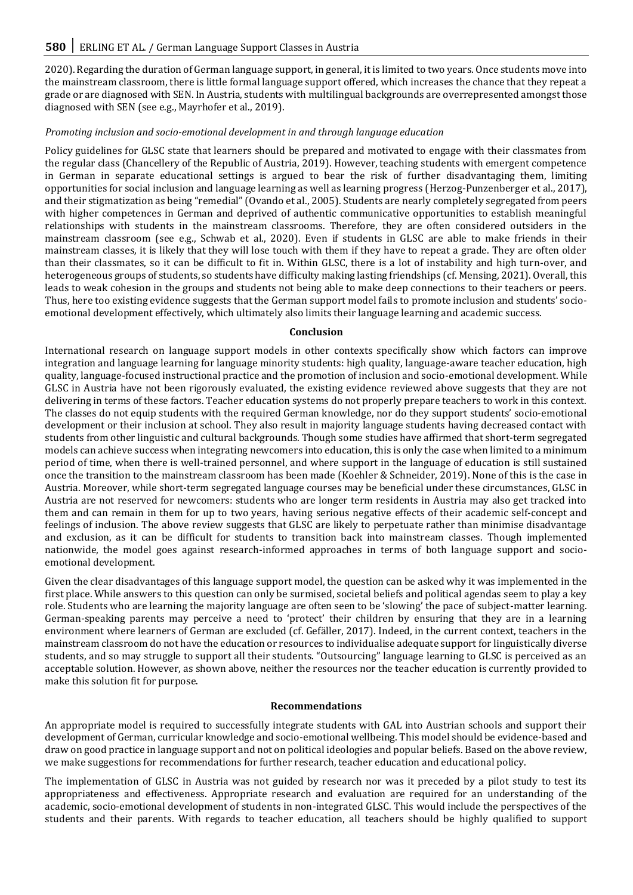2020). Regarding the duration of German language support, in general, it is limited to two years. Once students move into the mainstream classroom, there is little formal language support offered, which increases the chance that they repeat a grade or are diagnosed with SEN. In Austria, students with multilingual backgrounds are overrepresented amongst those diagnosed with SEN (see e.g., Mayrhofer et al., 2019).

#### *Promoting inclusion and socio-emotional development in and through language education*

Policy guidelines for GLSC state that learners should be prepared and motivated to engage with their classmates from the regular class (Chancellery of the Republic of Austria, 2019). However, teaching students with emergent competence in German in separate educational settings is argued to bear the risk of further disadvantaging them, limiting opportunities for social inclusion and language learning as well as learning progress (Herzog-Punzenberger et al., 2017), and their stigmatization as being "remedial" (Ovando et al., 2005). Students are nearly completely segregated from peers with higher competences in German and deprived of authentic communicative opportunities to establish meaningful relationships with students in the mainstream classrooms. Therefore, they are often considered outsiders in the mainstream classroom (see e.g., Schwab et al., 2020). Even if students in GLSC are able to make friends in their mainstream classes, it is likely that they will lose touch with them if they have to repeat a grade. They are often older than their classmates, so it can be difficult to fit in. Within GLSC, there is a lot of instability and high turn-over, and heterogeneous groups of students, so students have difficulty making lasting friendships (cf. Mensing, 2021). Overall, this leads to weak cohesion in the groups and students not being able to make deep connections to their teachers or peers. Thus, here too existing evidence suggests that the German support model fails to promote inclusion and students' socioemotional development effectively, which ultimately also limits their language learning and academic success.

#### **Conclusion**

International research on language support models in other contexts specifically show which factors can improve integration and language learning for language minority students: high quality, language-aware teacher education, high quality, language-focused instructional practice and the promotion of inclusion and socio-emotional development. While GLSC in Austria have not been rigorously evaluated, the existing evidence reviewed above suggests that they are not delivering in terms of these factors. Teacher education systems do not properly prepare teachers to work in this context. The classes do not equip students with the required German knowledge, nor do they support students' socio-emotional development or their inclusion at school. They also result in majority language students having decreased contact with students from other linguistic and cultural backgrounds. Though some studies have affirmed that short-term segregated models can achieve success when integrating newcomers into education, this is only the case when limited to a minimum period of time, when there is well-trained personnel, and where support in the language of education is still sustained once the transition to the mainstream classroom has been made (Koehler & Schneider, 2019). None of this is the case in Austria. Moreover, while short-term segregated language courses may be beneficial under these circumstances, GLSC in Austria are not reserved for newcomers: students who are longer term residents in Austria may also get tracked into them and can remain in them for up to two years, having serious negative effects of their academic self-concept and feelings of inclusion. The above review suggests that GLSC are likely to perpetuate rather than minimise disadvantage and exclusion, as it can be difficult for students to transition back into mainstream classes. Though implemented nationwide, the model goes against research-informed approaches in terms of both language support and socioemotional development.

Given the clear disadvantages of this language support model, the question can be asked why it was implemented in the first place. While answers to this question can only be surmised, societal beliefs and political agendas seem to play a key role. Students who are learning the majority language are often seen to be 'slowing' the pace of subject-matter learning. German-speaking parents may perceive a need to 'protect' their children by ensuring that they are in a learning environment where learners of German are excluded (cf. Gefäller, 2017). Indeed, in the current context, teachers in the mainstream classroom do not have the education or resources to individualise adequate support for linguistically diverse students, and so may struggle to support all their students. "Outsourcing" language learning to GLSC is perceived as an acceptable solution. However, as shown above, neither the resources nor the teacher education is currently provided to make this solution fit for purpose.

#### **Recommendations**

An appropriate model is required to successfully integrate students with GAL into Austrian schools and support their development of German, curricular knowledge and socio-emotional wellbeing. This model should be evidence-based and draw on good practice in language support and not on political ideologies and popular beliefs. Based on the above review, we make suggestions for recommendations for further research, teacher education and educational policy.

The implementation of GLSC in Austria was not guided by research nor was it preceded by a pilot study to test its appropriateness and effectiveness. Appropriate research and evaluation are required for an understanding of the academic, socio-emotional development of students in non-integrated GLSC. This would include the perspectives of the students and their parents. With regards to teacher education, all teachers should be highly qualified to support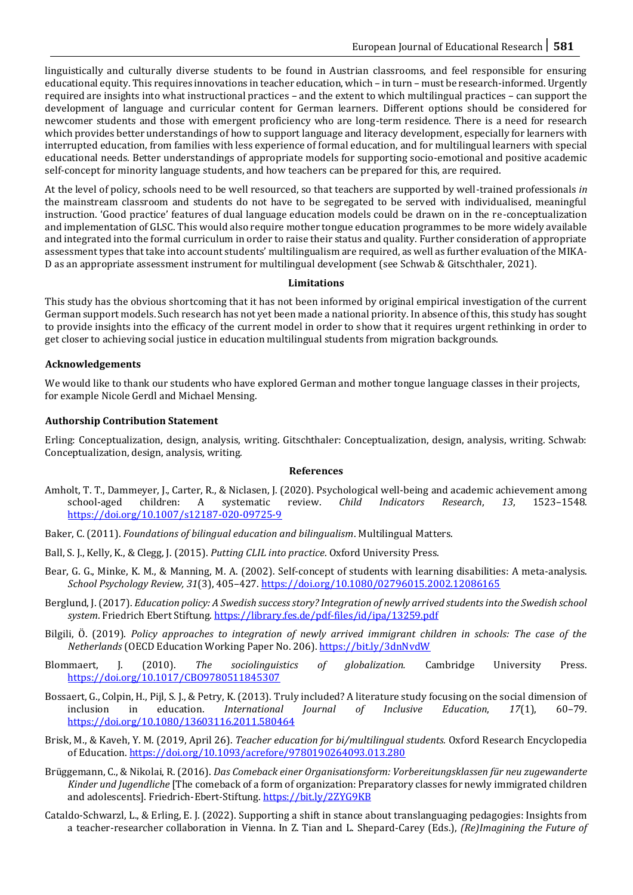linguistically and culturally diverse students to be found in Austrian classrooms, and feel responsible for ensuring educational equity. This requires innovations in teacher education, which – in turn – must be research-informed. Urgently required are insights into what instructional practices – and the extent to which multilingual practices – can support the development of language and curricular content for German learners. Different options should be considered for newcomer students and those with emergent proficiency who are long-term residence. There is a need for research which provides better understandings of how to support language and literacy development, especially for learners with interrupted education, from families with less experience of formal education, and for multilingual learners with special educational needs. Better understandings of appropriate models for supporting socio-emotional and positive academic self-concept for minority language students, and how teachers can be prepared for this, are required.

At the level of policy, schools need to be well resourced, so that teachers are supported by well-trained professionals *in* the mainstream classroom and students do not have to be segregated to be served with individualised, meaningful instruction. 'Good practice' features of dual language education models could be drawn on in the re-conceptualization and implementation of GLSC. This would also require mother tongue education programmes to be more widely available and integrated into the formal curriculum in order to raise their status and quality. Further consideration of appropriate assessment types that take into account students' multilingualism are required, as well as further evaluation of the MIKA-D as an appropriate assessment instrument for multilingual development (see Schwab & Gitschthaler, 2021).

#### **Limitations**

This study has the obvious shortcoming that it has not been informed by original empirical investigation of the current German support models. Such research has not yet been made a national priority. In absence of this, this study has sought to provide insights into the efficacy of the current model in order to show that it requires urgent rethinking in order to get closer to achieving social justice in education multilingual students from migration backgrounds.

# **Acknowledgements**

We would like to thank our students who have explored German and mother tongue language classes in their projects, for example Nicole Gerdl and Michael Mensing.

# **Authorship Contribution Statement**

Erling: Conceptualization, design, analysis, writing. Gitschthaler: Conceptualization, design, analysis, writing. Schwab: Conceptualization, design, analysis, writing.

#### **References**

- Amholt, T. T., Dammeyer, J., Carter, R., & Niclasen, J. (2020). Psychological well-being and academic achievement among school-aged children: A systematic review. *Child Indicators Research*, *13*, 1523–1548. <https://doi.org/10.1007/s12187-020-09725-9>
- Baker, C. (2011). *Foundations of bilingual education and bilingualism*. Multilingual Matters.
- Ball, S. J., Kelly, K., & Clegg, J. (2015). *Putting CLIL into practice*. Oxford University Press.
- Bear, G. G., Minke, K. M., & Manning, M. A. (2002). Self-concept of students with learning disabilities: A meta-analysis. *School Psychology Review, 31*(3), 405–427. <https://doi.org/10.1080/02796015.2002.12086165>
- Berglund, J. (2017). *Education policy: A Swedish success story? Integration of newly arrived students into the Swedish school system*. Friedrich Ebert Stiftung.<https://library.fes.de/pdf-files/id/ipa/13259.pdf>
- Bilgili, Ö. (2019). *Policy approaches to integration of newly arrived immigrant children in schools: The case of the Netherlands* (OECD Education Working Paper No. 206).<https://bit.ly/3dnNvdW>
- Blommaert, J. (2010). *The sociolinguistics of globalization.* Cambridge University Press. <https://doi.org/10.1017/CBO9780511845307>
- Bossaert, G., Colpin, H., Pijl, S. J., & Petry, K. (2013). Truly included? A literature study focusing on the social dimension of inclusion in education. *International Journal of Inclusive Education*, *17*(1), 60–79. <https://doi.org/10.1080/13603116.2011.580464>
- Brisk, M., & Kaveh, Y. M. (2019, April 26). *Teacher education for bi/multilingual students.* Oxford Research Encyclopedia of Education.<https://doi.org/10.1093/acrefore/9780190264093.013.280>
- Brüggemann, C., & Nikolai, R. (2016). *Das Comeback einer Organisationsform: Vorbereitungsklassen für neu zugewanderte Kinder und Jugendliche* [The comeback of a form of organization: Preparatory classes for newly immigrated children and adolescents]. Friedrich-Ebert-Stiftung[. https://bit.ly/2ZYG9KB](https://bit.ly/2ZYG9KB)
- Cataldo-Schwarzl, L., & Erling, E. J. (2022). Supporting a shift in stance about translanguaging pedagogies: Insights from a teacher-researcher collaboration in Vienna. In Z. Tian and L. Shepard-Carey (Eds.), *(Re)Imagining the Future of*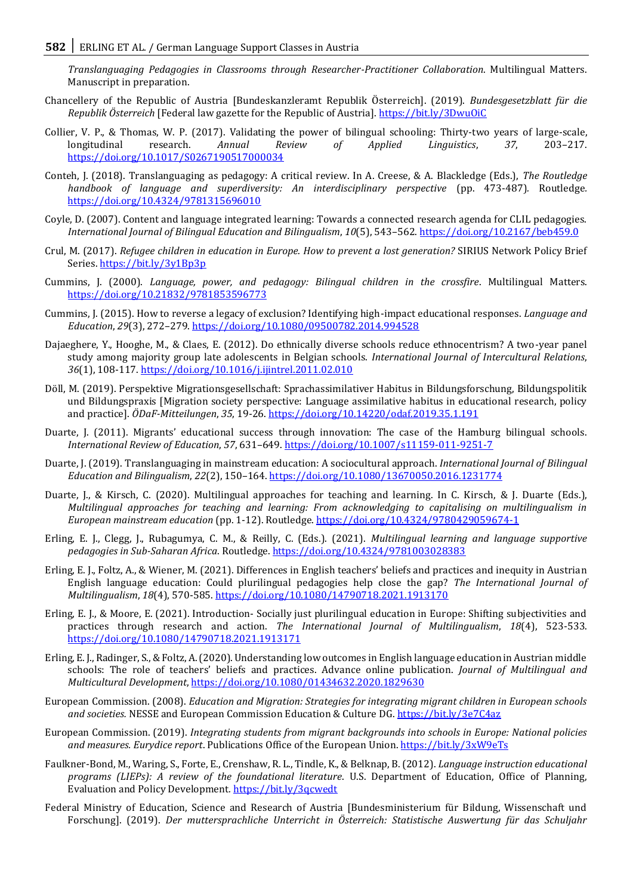*Translanguaging Pedagogies in Classrooms through Researcher-Practitioner Collaboration*. Multilingual Matters. Manuscript in preparation.

- Chancellery of the Republic of Austria [Bundeskanzleramt Republik Österreich]. (2019). *Bundesgesetzblatt für die Republik Österreich* [Federal law gazette for the Republic of Austria][. https://bit.ly/3DwuOiC](https://bit.ly/3DwuOiC)
- Collier, V. P., & Thomas, W. P. (2017). Validating the power of bilingual schooling: Thirty-two years of large-scale, longitudinal research. *Annual Review of Applied Linguistics*, *37*, 203–217. <https://doi.org/10.1017/S0267190517000034>
- Conteh, J. (2018). Translanguaging as pedagogy: A critical review. In A. Creese, & A. Blackledge (Eds.), *The Routledge handbook of language and superdiversity: An interdisciplinary perspective* (pp. 473-487)*.* Routledge*.*  <https://doi.org/10.4324/9781315696010>
- Coyle, D. (2007). Content and language integrated learning: Towards a connected research agenda for CLIL pedagogies. *International Journal of Bilingual Education and Bilingualism*, *10*(5), 543–562.<https://doi.org/10.2167/beb459.0>
- Crul, M. (2017). *Refugee children in education in Europe. How to prevent a lost generation?* SIRIUS Network Policy Brief Series.<https://bit.ly/3y1Bp3p>
- Cummins, J. (2000). *Language, power, and pedagogy: Bilingual children in the crossfire*. Multilingual Matters. <https://doi.org/10.21832/9781853596773>
- Cummins, J. (2015). How to reverse a legacy of exclusion? Identifying high-impact educational responses. *Language and Education*, *29*(3), 272–279.<https://doi.org/10.1080/09500782.2014.994528>
- Dajaeghere, Y., Hooghe, M., & Claes, E. (2012). Do ethnically diverse schools reduce ethnocentrism? A two-year panel study among majority group late adolescents in Belgian schools. *International Journal of Intercultural Relations*, *36*(1), 108-117. <https://doi.org/10.1016/j.ijintrel.2011.02.010>
- Döll, M. (2019). Perspektive Migrationsgesellschaft: Sprachassimilativer Habitus in Bildungsforschung, Bildungspolitik und Bildungspraxis [Migration society perspective: Language assimilative habitus in educational research, policy and practice]. *ÖDaF-Mitteilungen*, *35*, 19-26.<https://doi.org/10.14220/odaf.2019.35.1.191>
- Duarte, J. (2011). Migrants' educational success through innovation: The case of the Hamburg bilingual schools. *International Review of Education*, *57*, 631–649. <https://doi.org/10.1007/s11159-011-9251-7>
- Duarte, J. (2019). Translanguaging in mainstream education: A sociocultural approach. *International Journal of Bilingual Education and Bilingualism*, *22*(2), 150–164[. https://doi.org/10.1080/13670050.2016.1231774](https://doi.org/10.1080/13670050.2016.1231774)
- Duarte, J., & Kirsch, C. (2020). Multilingual approaches for teaching and learning. In C. Kirsch, & J. Duarte (Eds.), *Multilingual approaches for teaching and learning: From acknowledging to capitalising on multilingualism in European mainstream education* (pp. 1-12). Routledge[. https://doi.org/10.4324/9780429059674-1](https://doi.org/10.4324/9780429059674-1)
- Erling, E. J., Clegg, J., Rubagumya, C. M., & Reilly, C. (Eds.). (2021). *Multilingual learning and language supportive pedagogies in Sub-Saharan Africa*. Routledge[. https://doi.org/10.4324/9781003028383](https://doi.org/10.4324/9781003028383)
- Erling, E. J., Foltz, A., & Wiener, M. (2021). Differences in English teachers' beliefs and practices and inequity in Austrian English language education: Could plurilingual pedagogies help close the gap? *The International Journal of Multilingualism*, *18*(4), 570-585[. https://doi.org/10.1080/14790718.2021.1913170](https://doi.org/10.1080/14790718.2021.1913170)
- Erling, E. J., & Moore, E. (2021). Introduction- Socially just plurilingual education in Europe: Shifting subjectivities and practices through research and action. *The International Journal of Multilingualism*, *18*(4), 523-533. <https://doi.org/10.1080/14790718.2021.1913171>
- Erling, E. J., Radinger, S., & Foltz, A. (2020). Understanding low outcomes in English language education in Austrian middle schools: The role of teachers' beliefs and practices. Advance online publication. *Journal of Multilingual and Multicultural Development*,<https://doi.org/10.1080/01434632.2020.1829630>
- European Commission. (2008). *Education and Migration: Strategies for integrating migrant children in European schools and societies.* NESSE and European Commission Education & Culture DG.<https://bit.ly/3e7C4az>
- European Commission. (2019). *Integrating students from migrant backgrounds into schools in Europe: National policies and measures. Eurydice report*. Publications Office of the European Union.<https://bit.ly/3xW9eTs>
- Faulkner-Bond, M., Waring, S., Forte, E., Crenshaw, R. L., Tindle, K., & Belknap, B. (2012). *Language instruction educational programs (LIEPs): A review of the foundational literature*. U.S. Department of Education, Office of Planning, Evaluation and Policy Development*.* <https://bit.ly/3qcwedt>
- Federal Ministry of Education, Science and Research of Austria [Bundesministerium für Bildung, Wissenschaft und Forschung]. (2019). *Der muttersprachliche Unterricht in Österreich: Statistische Auswertung für das Schuljahr*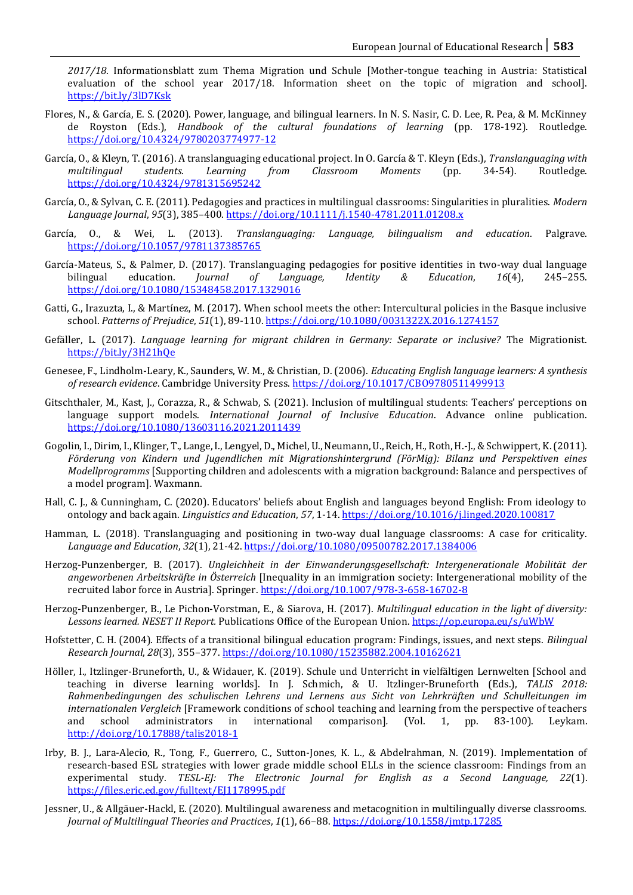*2017/18*. Informationsblatt zum Thema Migration und Schule [Mother-tongue teaching in Austria: Statistical evaluation of the school year 2017/18. Information sheet on the topic of migration and school]. <https://bit.ly/3lD7Ksk>

- Flores, N., & García, E. S. (2020). Power, language, and bilingual learners. In N. S. Nasir, C. D. Lee, R. Pea, & M. McKinney de Royston (Eds.), *Handbook of the cultural foundations of learning* (pp. 178-192). Routledge. <https://doi.org/10.4324/9780203774977-12>
- García, O., & Kleyn, T. (2016). A translanguaging educational project. In O. García & T. Kleyn (Eds.), *Translanguaging with multilingual students. Learning from Classroom Moments* (pp. 34-54)*.* Routledge. <https://doi.org/10.4324/9781315695242>
- García, O., & Sylvan, C. E. (2011). Pedagogies and practices in multilingual classrooms: Singularities in pluralities. *Modern Language Journal*, *95*(3), 385–400.<https://doi.org/10.1111/j.1540-4781.2011.01208.x>
- García, O., & Wei, L. (2013). *Translanguaging: Language, bilingualism and education*. Palgrave. <https://doi.org/10.1057/9781137385765>
- García-Mateus, S., & Palmer, D. (2017). Translanguaging pedagogies for positive identities in two-way dual language bilingual education. *Journal of Language, Identity & Education*, *16*(4), 245–255. <https://doi.org/10.1080/15348458.2017.1329016>
- Gatti, G., Irazuzta, I., & Martínez, M. (2017). When school meets the other: Intercultural policies in the Basque inclusive school. *Patterns of Prejudice*, *51*(1), 89-110. <https://doi.org/10.1080/0031322X.2016.1274157>
- Gefäller, L. (2017). *Language learning for migrant children in Germany: Separate or inclusive?* The Migrationist. <https://bit.ly/3H21hQe>
- Genesee, F., Lindholm-Leary, K., Saunders, W. M., & Christian, D. (2006). *Educating English language learners: A synthesis of research evidence*. Cambridge University Press[. https://doi.org/10.1017/CBO9780511499913](https://doi.org/10.1017/CBO9780511499913)
- Gitschthaler, M., Kast, J., Corazza, R., & Schwab, S. (2021). Inclusion of multilingual students: Teachers' perceptions on language support models. *International Journal of Inclusive Education*. Advance online publication. <https://doi.org/10.1080/13603116.2021.2011439>
- Gogolin, I., Dirim, I., Klinger, T., Lange, I., Lengyel, D., Michel, U., Neumann, U., Reich, H., Roth, H.-J., & Schwippert, K. (2011). *Förderung von Kindern und Jugendlichen mit Migrationshintergrund (FörMig): Bilanz und Perspektiven eines Modellprogramms* [Supporting children and adolescents with a migration background: Balance and perspectives of a model program]. Waxmann.
- Hall, C. J., & Cunningham, C. (2020). Educators' beliefs about English and languages beyond English: From ideology to ontology and back again. *Linguistics and Education*, *57*, 1-14.<https://doi.org/10.1016/j.linged.2020.100817>
- Hamman, L. (2018). Translanguaging and positioning in two-way dual language classrooms: A case for criticality. *Language and Education*, *32*(1), 21-42.<https://doi.org/10.1080/09500782.2017.1384006>
- Herzog-Punzenberger, B. (2017). *Ungleichheit in der Einwanderungsgesellschaft: Intergenerationale Mobilität der angeworbenen Arbeitskräfte in Österreich* [Inequality in an immigration society: Intergenerational mobility of the recruited labor force in Austria]. Springer.<https://doi.org/10.1007/978-3-658-16702-8>
- Herzog-Punzenberger, B., Le Pichon-Vorstman, E., & Siarova, H. (2017). *Multilingual education in the light of diversity: Lessons learned. NESET II Report.* Publications Office of the European Union.<https://op.europa.eu/s/uWbW>
- Hofstetter, C. H. (2004). Effects of a transitional bilingual education program: Findings, issues, and next steps. *Bilingual Research Journal*, *28*(3), 355–377[. https://doi.org/10.1080/15235882.2004.10162621](https://doi.org/10.1080/15235882.2004.10162621)
- Höller, I., Itzlinger-Bruneforth, U., & Widauer, K. (2019). Schule und Unterricht in vielfältigen Lernwelten [School and teaching in diverse learning worlds]. In J. Schmich, & U. Itzlinger-Bruneforth (Eds.), *TALIS 2018: Rahmenbedingungen des schulischen Lehrens und Lernens aus Sicht von Lehrkräften und Schulleitungen im internationalen Vergleich* [Framework conditions of school teaching and learning from the perspective of teachers and school administrators in international comparison]*.* (Vol. 1, pp. 83-100). Leykam. <http://doi.org/10.17888/talis2018-1>
- Irby, B. J., Lara-Alecio, R., Tong, F., Guerrero, C., Sutton-Jones, K. L., & Abdelrahman, N. (2019). Implementation of research-based ESL strategies with lower grade middle school ELLs in the science classroom: Findings from an experimental study. *TESL-EJ: The Electronic Journal for English as a Second Language, 22*(1). <https://files.eric.ed.gov/fulltext/EJ1178995.pdf>
- Jessner, U., & Allgäuer-Hackl, E. (2020). Multilingual awareness and metacognition in multilingually diverse classrooms. *Journal of Multilingual Theories and Practices*, *1*(1), 66–88. <https://doi.org/10.1558/jmtp.17285>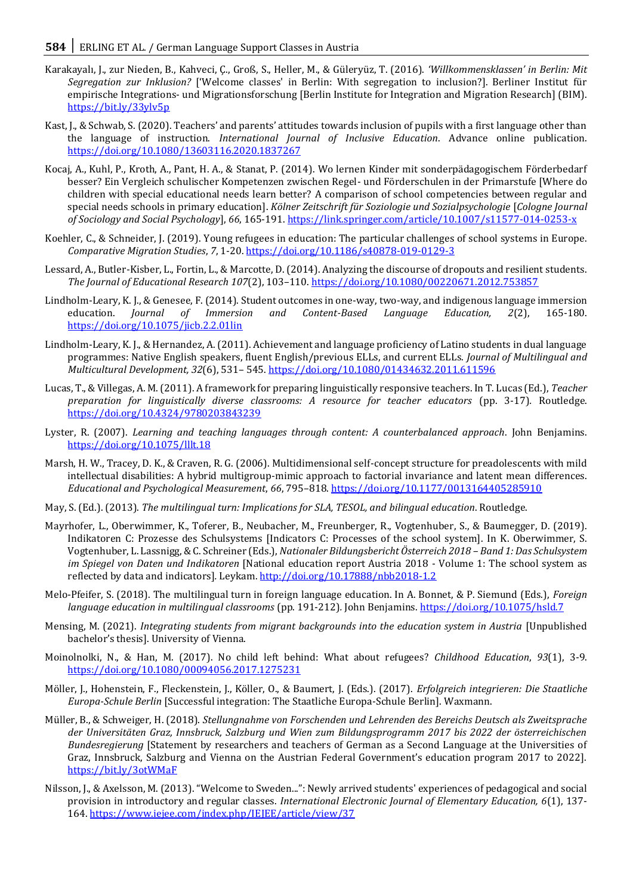- Karakayalı, J., zur Nieden, B., Kahveci, Ç., Groß, S., Heller, M., & Güleryüz, T. (2016). *'Willkommensklassen' in Berlin: Mit Segregation zur Inklusion?* ['Welcome classes' in Berlin: With segregation to inclusion?]. Berliner Institut für empirische Integrations- und Migrationsforschung [Berlin Institute for Integration and Migration Research] (BIM). <https://bit.ly/33ylv5p>
- Kast, J., & Schwab, S. (2020). Teachers' and parents' attitudes towards inclusion of pupils with a first language other than the language of instruction. *International Journal of Inclusive Education*. Advance online publication. <https://doi.org/10.1080/13603116.2020.1837267>
- Kocaj, A., Kuhl, P., Kroth, A., Pant, H. A., & Stanat, P. (2014). Wo lernen Kinder mit sonderpädagogischem Förderbedarf besser? Ein Vergleich schulischer Kompetenzen zwischen Regel- und Förderschulen in der Primarstufe [Where do children with special educational needs learn better? A comparison of school competencies between regular and special needs schools in primary education]. *Kölner Zeitschrift für Soziologie und Sozialpsychologie* [*Cologne Journal of Sociology and Social Psychology*], *66*, 165-191[. https://link.springer.com/article/10.1007/s11577-014-0253-x](https://link.springer.com/article/10.1007/s11577-014-0253-x)
- Koehler, C., & Schneider, J. (2019). Young refugees in education: The particular challenges of school systems in Europe. *Comparative Migration Studies*, *7*, 1-20[. https://doi.org/10.1186/s40878-019-0129-3](https://doi.org/10.1186/s40878-019-0129-3)
- Lessard, A., Butler-Kisber, L., Fortin, L., & Marcotte, D. (2014). Analyzing the discourse of dropouts and resilient students. *The Journal of Educational Research 107*(2), 103–110.<https://doi.org/10.1080/00220671.2012.753857>
- Lindholm-Leary, K. J., & Genesee, F. (2014). Student outcomes in one-way, two-way, and indigenous language immersion education. *Journal of Immersion and Content-Based Language Education, 2*(2), 165-180. <https://doi.org/10.1075/jicb.2.2.01lin>
- Lindholm-Leary, K. J., & Hernandez, A. (2011). Achievement and language proficiency of Latino students in dual language programmes: Native English speakers, fluent English/previous ELLs, and current ELLs. *Journal of Multilingual and Multicultural Development, 32*(6), 531– 545[. https://doi.org/10.1080/01434632.2011.611596](https://doi.org/10.1080/01434632.2011.611596)
- Lucas, T., & Villegas, A. M. (2011). A framework for preparing linguistically responsive teachers. In T. Lucas (Ed.), *Teacher preparation for linguistically diverse classrooms: A resource for teacher educators (pp. 3-17).* Routledge. <https://doi.org/10.4324/9780203843239>
- Lyster, R. (2007). *Learning and teaching languages through content: A counterbalanced approach*. John Benjamins. <https://doi.org/10.1075/lllt.18>
- Marsh, H. W., Tracey, D. K., & Craven, R. G. (2006). Multidimensional self-concept structure for preadolescents with mild intellectual disabilities: A hybrid multigroup-mimic approach to factorial invariance and latent mean differences. *Educational and Psychological Measurement*, *66*, 795–818. <https://doi.org/10.1177/0013164405285910>
- May, S. (Ed.). (2013). *The multilingual turn: Implications for SLA, TESOL, and bilingual education*. Routledge.
- Mayrhofer, L., Oberwimmer, K., Toferer, B., Neubacher, M., Freunberger, R., Vogtenhuber, S., & Baumegger, D. (2019). Indikatoren C: Prozesse des Schulsystems [Indicators C: Processes of the school system]. In K. Oberwimmer, S. Vogtenhuber, L. Lassnigg, & C. Schreiner (Eds.), *Nationaler Bildungsbericht Österreich 2018 – Band 1: Das Schulsystem im Spiegel von Daten und Indikatoren* [National education report Austria 2018 - Volume 1: The school system as reflected by data and indicators]*.* Leykam[. http://doi.org/10.17888/nbb2018-1.2](http://doi.org/10.17888/nbb2018-1.2)
- Melo-Pfeifer, S. (2018). The multilingual turn in foreign language education. In A. Bonnet, & P. Siemund (Eds.), *Foreign language education in multilingual classrooms* (pp. 191-212)*.* John Benjamins[. https://doi.org/10.1075/hsld.7](https://doi.org/10.1075/hsld.7)
- Mensing, M. (2021). *Integrating students from migrant backgrounds into the education system in Austria* [Unpublished bachelor's thesis]. University of Vienna.
- Moinolnolki, N., & Han, M. (2017). No child left behind: What about refugees? *Childhood Education*, *93*(1), 3-9. <https://doi.org/10.1080/00094056.2017.1275231>
- Möller, J., Hohenstein, F., Fleckenstein, J., Köller, O., & Baumert, J. (Eds.). (2017). *Erfolgreich integrieren: Die Staatliche Europa-Schule Berlin* [Successful integration: The Staatliche Europa-Schule Berlin]. Waxmann.
- Müller, B., & Schweiger, H. (2018). *Stellungnahme von Forschenden und Lehrenden des Bereichs Deutsch als Zweitsprache der Universitäten Graz, Innsbruck, Salzburg und Wien zum Bildungsprogramm 2017 bis 2022 der österreichischen Bundesregierung* [Statement by researchers and teachers of German as a Second Language at the Universities of Graz, Innsbruck, Salzburg and Vienna on the Austrian Federal Government's education program 2017 to 2022]. <https://bit.ly/3otWMaF>
- Nilsson, J., & Axelsson, M. (2013). "Welcome to Sweden...": Newly arrived students' experiences of pedagogical and social provision in introductory and regular classes. *International Electronic Journal of Elementary Education, 6*(1), 137- 164[. https://www.iejee.com/index.php/IEJEE/article/view/37](https://www.iejee.com/index.php/IEJEE/article/view/37)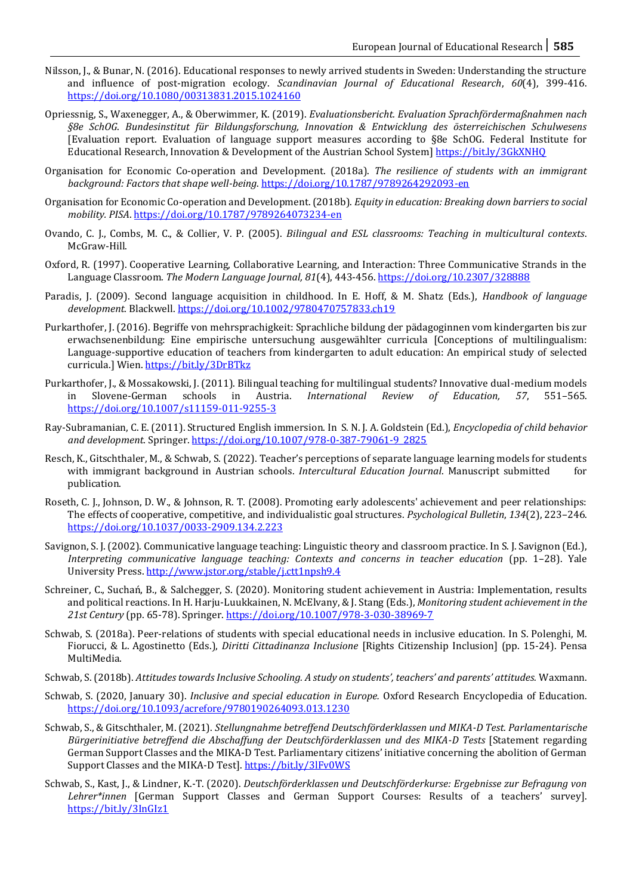- Nilsson, J., & Bunar, N. (2016). Educational responses to newly arrived students in Sweden: Understanding the structure and influence of post-migration ecology. *Scandinavian Journal of Educational Research*, *60*(4), 399-416. <https://doi.org/10.1080/00313831.2015.1024160>
- Opriessnig, S., Waxenegger, A., & Oberwimmer, K. (2019). *Evaluationsbericht. Evaluation Sprachfördermaßnahmen nach §8e SchOG*. *Bundesinstitut für Bildungsforschung, Innovation & Entwicklung des österreichischen Schulwesens* [Evaluation report. Evaluation of language support measures according to §8e SchOG. Federal Institute for Educational Research, Innovation & Development of the Austrian School System]<https://bit.ly/3GkXNHQ>
- Organisation for Economic Co-operation and Development. (2018a). *The resilience of students with an immigrant background: Factors that shape well-being*.<https://doi.org/10.1787/9789264292093-en>
- Organisation for Economic Co-operation and Development. (2018b). *Equity in education: Breaking down barriers to social mobility. PISA*.<https://doi.org/10.1787/9789264073234-en>
- Ovando, C. J., Combs, M. C., & Collier, V. P. (2005). *Bilingual and ESL classrooms: Teaching in multicultural contexts*. McGraw-Hill.
- Oxford, R. (1997). Cooperative Learning, Collaborative Learning, and Interaction: Three Communicative Strands in the Language Classroom. *The Modern Language Journal, 81*(4), 443-456.<https://doi.org/10.2307/328888>
- Paradis, J. (2009). Second language acquisition in childhood. In E. Hoff, & M. Shatz (Eds.), *Handbook of language development*. Blackwell[. https://doi.org/10.1002/9780470757833.ch19](https://doi.org/10.1002/9780470757833.ch19)
- Purkarthofer, J. (2016). Begriffe von mehrsprachigkeit: Sprachliche bildung der pädagoginnen vom kindergarten bis zur erwachsenenbildung: Eine empirische untersuchung ausgewählter curricula [Conceptions of multilingualism: Language-supportive education of teachers from kindergarten to adult education: An empirical study of selected curricula.] Wien. https://bit.ly/3DrBTkz
- Purkarthofer, J., & Mossakowski, J. (2011). Bilingual teaching for multilingual students? Innovative dual-medium models in Slovene-German schools in Austria. *International Review of Education, 57*, 551–565. <https://doi.org/10.1007/s11159-011-9255-3>
- Ray-Subramanian, C. E. (2011). Structured English immersion. In S. N. J. A. Goldstein (Ed.), *Encyclopedia of child behavior and development*. Springer. [https://doi.org/10.1007/978-0-387-79061-9\\_2825](https://doi.org/10.1007/978-0-387-79061-9_2825)
- Resch, K., Gitschthaler, M., & Schwab, S. (2022). Teacher's perceptions of separate language learning models for students with immigrant background in Austrian schools. *Intercultural Education Journal*. Manuscript submitted for publication.
- Roseth, C. J., Johnson, D. W., & Johnson, R. T. (2008). Promoting early adolescents' achievement and peer relationships: The effects of cooperative, competitive, and individualistic goal structures. *Psychological Bulletin*, *134*(2), 223–246. <https://doi.org/10.1037/0033-2909.134.2.223>
- Savignon, S. J. (2002). Communicative language teaching: Linguistic theory and classroom practice. In S. J. Savignon (Ed.), *Interpreting communicative language teaching: Contexts and concerns in teacher education* (pp. 1–28). Yale University Press.<http://www.jstor.org/stable/j.ctt1npsh9.4>
- Schreiner, C., Suchań, B., & Salchegger, S. (2020). Monitoring student achievement in Austria: Implementation, results and political reactions. In H. Harju-Luukkainen, N. McElvany, & J. Stang (Eds.), *Monitoring student achievement in the 21st Century* (pp. 65-78). Springer.<https://doi.org/10.1007/978-3-030-38969-7>
- Schwab, S. (2018a). Peer-relations of students with special educational needs in inclusive education. In S. Polenghi, M. Fiorucci, & L. Agostinetto (Eds.), *Diritti Cittadinanza Inclusione* [Rights Citizenship Inclusion] (pp. 15-24). Pensa MultiMedia.
- Schwab, S. (2018b). *Attitudes towards Inclusive Schooling. A study on students', teachers' and parents' attitudes.* Waxmann.
- Schwab, S. (2020, January 30). *Inclusive and special education in Europe.* Oxford Research Encyclopedia of Education. <https://doi.org/10.1093/acrefore/9780190264093.013.1230>
- Schwab, S., & Gitschthaler, M. (2021). *Stellungnahme betreffend Deutschförderklassen und MIKA-D Test. Parlamentarische Bürgerinitiative betreffend die Abschaffung der Deutschförderklassen und des MIKA-D Tests* [Statement regarding German Support Classes and the MIKA-D Test. Parliamentary citizens' initiative concerning the abolition of German Support Classes and the MIKA-D Test][. https://bit.ly/3lFv0WS](https://bit.ly/3lFv0WS)
- Schwab, S., Kast, J., & Lindner, K.-T. (2020). *Deutschförderklassen und Deutschförderkurse: Ergebnisse zur Befragung von Lehrer\*innen* [German Support Classes and German Support Courses: Results of a teachers' survey]. <https://bit.ly/3InGIz1>